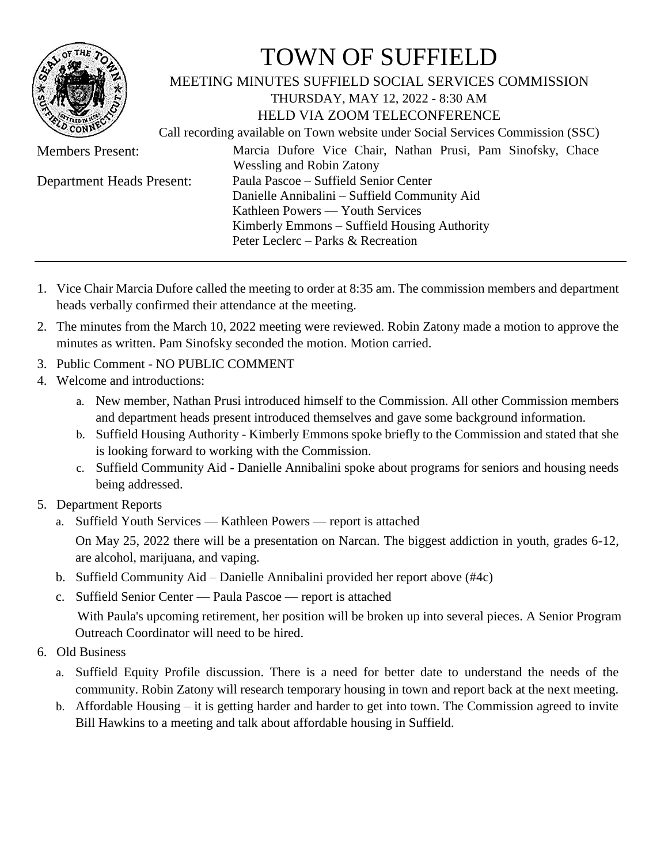

## TOWN OF SUFFIELD

## MEETING MINUTES SUFFIELD SOCIAL SERVICES COMMISSION

THURSDAY, MAY 12, 2022 - 8:30 AM HELD VIA ZOOM TELECONFERENCE

Call recording available on Town website under Social Services Commission (SSC)

- Members Present: Marcia Dufore Vice Chair, Nathan Prusi, Pam Sinofsky, Chace Wessling and Robin Zatony Department Heads Present: Paula Pascoe – Suffield Senior Center Danielle Annibalini – Suffield Community Aid Kathleen Powers — Youth Services Kimberly Emmons – Suffield Housing Authority Peter Leclerc – Parks & Recreation
- 1. Vice Chair Marcia Dufore called the meeting to order at 8:35 am. The commission members and department heads verbally confirmed their attendance at the meeting.
- 2. The minutes from the March 10, 2022 meeting were reviewed. Robin Zatony made a motion to approve the minutes as written. Pam Sinofsky seconded the motion. Motion carried.
- 3. Public Comment NO PUBLIC COMMENT
- 4. Welcome and introductions:
	- a. New member, Nathan Prusi introduced himself to the Commission. All other Commission members and department heads present introduced themselves and gave some background information.
	- b. Suffield Housing Authority Kimberly Emmons spoke briefly to the Commission and stated that she is looking forward to working with the Commission.
	- c. Suffield Community Aid Danielle Annibalini spoke about programs for seniors and housing needs being addressed.
- 5. Department Reports
	- a. Suffield Youth Services Kathleen Powers report is attached On May 25, 2022 there will be a presentation on Narcan. The biggest addiction in youth, grades 6-12, are alcohol, marijuana, and vaping.
	- b. Suffield Community Aid Danielle Annibalini provided her report above (#4c)
	- c. Suffield Senior Center Paula Pascoe report is attached With Paula's upcoming retirement, her position will be broken up into several pieces. A Senior Program Outreach Coordinator will need to be hired.
- 6. Old Business
	- a. Suffield Equity Profile discussion. There is a need for better date to understand the needs of the community. Robin Zatony will research temporary housing in town and report back at the next meeting.
	- b. Affordable Housing it is getting harder and harder to get into town. The Commission agreed to invite Bill Hawkins to a meeting and talk about affordable housing in Suffield.